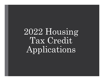# 2022 Housing Tax Credit Applications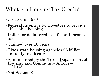## What is a Housing Tax Credit?

- Created in 1986
- Federal incentive for investors to provide affordable housing
- Dollar for dollar credit on federal income tax
- Claimed over 10 years
- Gives state housing agencies \$8 billion annually to allocate
- Administered by the Texas Department of Housing and Community Affairs –<br>TDHCA.
- Not Section 8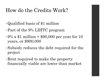## How do the Credits Work?

- Qualified basis of \$1 million
- Part of the 9% LIHTC program
- 9% x \$1 million = \$90,000 per year for 10 years, or \$900,000
- Subsidy reduces the debt required for the project
- Rent required to make the property financially viable are lower than market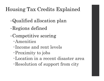## Housing Tax Credits Explained

- •Qualified allocation plan
- •Regions defined
- •Competitive scoring
	- Amenities
	- Income and rent levels
	- Proximity to jobs
	- Location in a recent disaster area
	- Resolution of support from city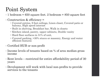## Point System

- $\cdot$  1 bedroom = 650 square feet. 2 bedroom = 850 square feet
- Construction & efficiency =
	- Covered entries, 9 foot ceilings, Linen closet, Covered patio or balcony, High speed internet
	- Built in shelving, Breakfast bar, Walk in closets
	- Kitchen island, pantry, upper cabinets, Double vanity
	- Hard floor surfaces in 51% of unit,
	- Covered parking, >30% stucco or masonry, Energy and water efficient features
- Certified HUB or non-profit
- Income levels of tenants based on % of area median gross income
- balcony, High speed internet<br>
Built in shelving, Breakfast bar, Walk in closets<br>
Kitchen island, pantry, upper cabinets, Double vanity<br>
Hard floor surfaces in 51% of unit,<br>
Covered parking, >30% stucco or masonry, years
- Development will work with local non-profits to provide services to the tenants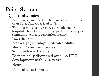## Point System

#### • Opportunity index

- Within a census tract with a poverty rate of less than 20%. This tract is at 14%.
- Within 5 miles of a grocery store, pharmacy, hospital, Head Start, library, park, university or community college, recreation facility
- Low crime rate
- With a high percentage of educated adults
- Meals on Wheels service area
- School with A or B rating
- •Economically distressed area, no HTC development within 15 years
- Near jobs
- •Federal disaster area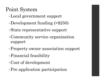## Point System

- •Local government support
- •Development funding (>\$250)
- •State representative support
- •Community service organization support
- •Property owner association support
- •Financial feasibility
- •Cost of development
- •Pre application participation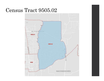#### Census Tract 9505.02

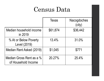# Census Data

|                                                 | Census Data  |                       |  |
|-------------------------------------------------|--------------|-----------------------|--|
|                                                 | <b>Texas</b> | Nacogdoches<br>(city) |  |
| Median household income<br>in 2019              | \$61,874     | \$36,442              |  |
| % At or Below Poverty<br>Level (2019)           | 13.4%        | 31.0%                 |  |
| Median Rent Asked (2019)                        | \$1,045      | \$771                 |  |
| Median Gross Rent as a %<br>of Household Income | 20.27%       | 25.4%                 |  |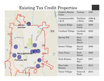#### Existing Tax Credit Properties



| Properties                  |                               |                |
|-----------------------------|-------------------------------|----------------|
| Cordova Rental<br>Units     | Various                       | 1993           |
| Commonwealth<br>I & II      | Northwa<br>y Drive            | 1996 &<br>1999 |
| Cypress Ridge               | Logan<br>Circle               | 2000           |
| Cardinal Village            | Cardinal<br><b>Street</b>     | 2002           |
| Spring Hill                 | East<br>Main<br><b>Street</b> | 2002           |
| Senior Village              | Harris<br><b>Street</b>       | 2006           |
| <b>Vista Pines</b>          | Park<br><b>Street</b>         | 2006           |
| Park Estates                | Pruitt<br>Hill                | 2007           |
| Pine Lake<br><b>Estates</b> | Durst<br><b>Street</b>        | 2013           |
| <b>Tower Village</b>        | Tower &<br>Park               | 2013           |
|                             |                               |                |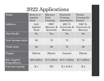## 2022 Applications

| 2022 Applications           |                              |                                     |                                              |                                    |  |
|-----------------------------|------------------------------|-------------------------------------|----------------------------------------------|------------------------------------|--|
| <b>Name</b>                 | Reserve @<br>Appleby<br>Sand | Maroney<br>Park<br>Crossing         | Pinewood<br>Crossing<br>Apartments           | Pioneer<br>Crossing for<br>Seniors |  |
| <b>Address</b>              | 2421<br>Appleby<br>Sand      | <b>SWC</b><br>Maroney &<br>Kenbrook | SEC <sub>N.</sub><br>University &<br>Maroney | NEC N.<br>University &<br>Maroney  |  |
| Non-Profit                  | No                           | Yes                                 | N <sub>o</sub>                               | No                                 |  |
| Low income units            | 80                           | 72                                  | 72                                           | 72                                 |  |
| <b>Total units</b>          | 80                           | 80                                  | 72                                           | 80                                 |  |
| Target                      | Elderly                      | Elderly                             | General                                      | Elderly                            |  |
| Est. Capital<br>Expenditure | \$22 million                 | \$13 million                        | \$10.7 million                               | \$11 million                       |  |
| <b>Current zoning</b>       | $R-1$                        | <b>PD</b>                           | $R-1 & R B-2$                                | $B-2$                              |  |
|                             |                              |                                     |                                              |                                    |  |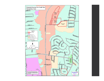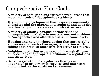## Comprehensive Plan Goals

- A variety of safe, high-quality residential areas that meet the needs of Nacogdoches residents.
- High-quality development that respects community character and the natural environment and does not overburden public services and infrastructure
- A variety of quality housing options that are appropriately available to new and current residents of Nacogdoches and affordable at all income levels.
- Housing and neighborhood design that successfully addresses the needs of an aging population while taking advantage of amenities attractive to retirees.
- Neighborhoods that are protected through diligent enforcement of appropriate ordinances, regulations and incentives.
- Sensible growth in Nacogdoches that takes advantage of proximity to services and amenities and minimizes the strain on tax revenue.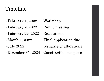#### Timeline

- 
- Timeline<br>• February 1, 2022 Workshop<br>• February 2, 2022 Public meeting Timeline<br>• February 1, 2022 Workshop<br>• February 2, 2022 Public meeting<br>• February 22, 2022 Resolutions
- 
- Timeline<br>• February 1, 2022 Workshop<br>• February 2, 2022 Public meeting<br>• February 22, 2022 Resolutions<br>• March 1, 2022 Final application due Timeline<br>• February 1, 2022 – Workshop<br>• February 2, 2022 – Public meeting<br>• February 22, 2022 – Resolutions<br>• March 1, 2022 – Final application due<br>• July 2022 – Issuance of allocations • February 1, 2022 Workshop<br>• February 2, 2022 Public meeting<br>• February 22, 2022 Resolutions<br>• March 1, 2022 Final application due<br>• July 2022 Issuance of allocations<br>• December 31, 2024 Construction complete • February 1, 2022 Workshop<br>• February 2, 2022 Public meeting<br>• February 22, 2022 Resolutions<br>• March 1, 2022 Final application due<br>• July 2022 Issuance of allocations<br>• December 31, 2024 Construction complete
- 
-